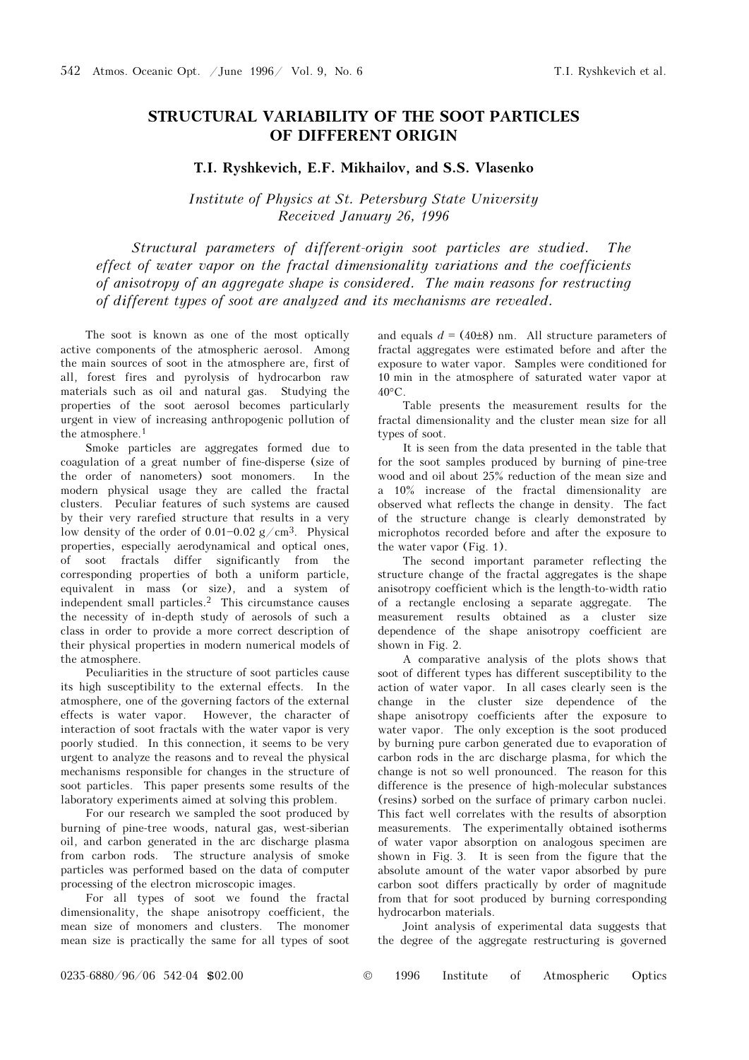## STRUCTURAL VARIABILITY OF THE SOOT PARTICLES OF DIFFERENT ORIGIN

## T.I. Ryshkevich, E.F. Mikhailov, and S.S. Vlasenko

Institute of Physics at St. Petersburg State University Received January 26, 1996

Structural parameters of different-origin soot particles are studied. The effect of water vapor on the fractal dimensionality variations and the coefficients of anisotropy of an aggregate shape is considered. The main reasons for restructing of different types of soot are analyzed and its mechanisms are revealed.

The soot is known as one of the most optically active components of the atmospheric aerosol. Among the main sources of soot in the atmosphere are, first of all, forest fires and pyrolysis of hydrocarbon raw materials such as oil and natural gas. Studying the properties of the soot aerosol becomes particularly urgent in view of increasing anthropogenic pollution of the atmosphere.<sup>1</sup>

Smoke particles are aggregates formed due to coagulation of a great number of fine-disperse (size of the order of nanometers) soot monomers. In the modern physical usage they are called the fractal clusters. Peculiar features of such systems are caused by their very rarefied structure that results in a very low density of the order of  $0.01 - 0.02$  g/cm<sup>3</sup>. Physical properties, especially aerodynamical and optical ones, of soot fractals differ significantly from the corresponding properties of both a uniform particle, equivalent in mass (or size), and a system of independent small particles.2 This circumstance causes the necessity of in-depth study of aerosols of such a class in order to provide a more correct description of their physical properties in modern numerical models of the atmosphere.

Peculiarities in the structure of soot particles cause its high susceptibility to the external effects. In the atmosphere, one of the governing factors of the external effects is water vapor. However, the character of interaction of soot fractals with the water vapor is very poorly studied. In this connection, it seems to be very urgent to analyze the reasons and to reveal the physical mechanisms responsible for changes in the structure of soot particles. This paper presents some results of the laboratory experiments aimed at solving this problem.

For our research we sampled the soot produced by burning of pine-tree woods, natural gas, west-siberian oil, and carbon generated in the arc discharge plasma from carbon rods. The structure analysis of smoke particles was performed based on the data of computer processing of the electron microscopic images.

For all types of soot we found the fractal dimensionality, the shape anisotropy coefficient, the mean size of monomers and clusters. The monomer mean size is practically the same for all types of soot and equals  $d = (40\pm8)$  nm. All structure parameters of fractal aggregates were estimated before and after the exposure to water vapor. Samples were conditioned for 10 min in the atmosphere of saturated water vapor at 40°C.

Table presents the measurement results for the fractal dimensionality and the cluster mean size for all types of soot.

It is seen from the data presented in the table that for the soot samples produced by burning of pine-tree wood and oil about 25% reduction of the mean size and a 10% increase of the fractal dimensionality are observed what reflects the change in density. The fact of the structure change is clearly demonstrated by microphotos recorded before and after the exposure to the water vapor (Fig. 1).

The second important parameter reflecting the structure change of the fractal aggregates is the shape anisotropy coefficient which is the length-to-width ratio of a rectangle enclosing a separate aggregate. The measurement results obtained as a cluster size dependence of the shape anisotropy coefficient are shown in Fig. 2.

A comparative analysis of the plots shows that soot of different types has different susceptibility to the action of water vapor. In all cases clearly seen is the change in the cluster size dependence of the shape anisotropy coefficients after the exposure to water vapor. The only exception is the soot produced by burning pure carbon generated due to evaporation of carbon rods in the arc discharge plasma, for which the change is not so well pronounced. The reason for this difference is the presence of high-molecular substances (resins) sorbed on the surface of primary carbon nuclei. This fact well correlates with the results of absorption measurements. The experimentally obtained isotherms of water vapor absorption on analogous specimen are shown in Fig. 3. It is seen from the figure that the absolute amount of the water vapor absorbed by pure carbon soot differs practically by order of magnitude from that for soot produced by burning corresponding hydrocarbon materials.

Joint analysis of experimental data suggests that the degree of the aggregate restructuring is governed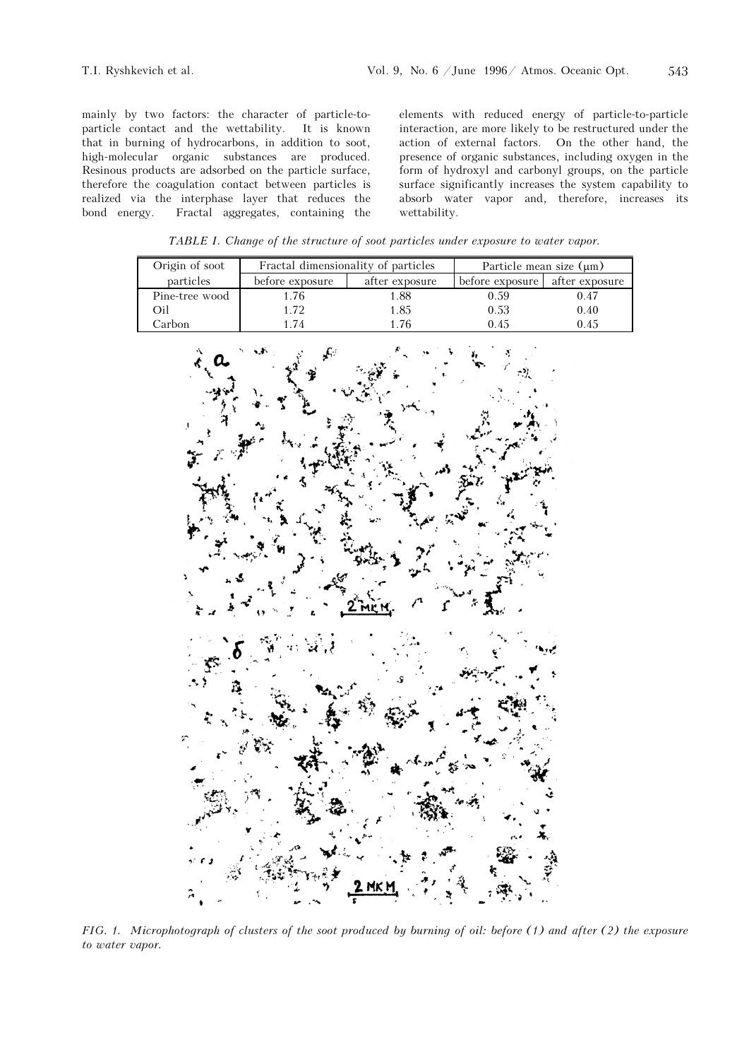mainly by two factors: the character of particle-toparticle contact and the wettability. It is known that in burning of hydrocarbons, in addition to soot, high-molecular organic substances are produced. Resinous products are adsorbed on the particle surface, therefore the coagulation contact between particles is realized via the interphase layer that reduces the bond energy. Fractal aggregates, containing the elements with reduced energy of particle-to-particle interaction, are more likely to be restructured under the action of external factors. On the other hand, the presence of organic substances, including oxygen in the form of hydroxyl and carbonyl groups, on the particle surface significantly increases the system capability to absorb water vapor and, therefore, increases its wettability.

TABLE I. Change of the structure of soot particles under exposure to water vapor.

| Origin of soot | Fractal dimensionality of particles |                | Particle mean size $(\mu m)$ |                |
|----------------|-------------------------------------|----------------|------------------------------|----------------|
| particles      | before exposure                     | after exposure | before exposure              | after exposure |
| Pine-tree wood | . 76                                | .88            | 0.59                         | 0.47           |
| Эil            | 1.72                                | .85            | 0.53                         | 0.40           |
| Carbon         | .74                                 | -76            | 0.45                         | 0.45           |



FIG. 1. Microphotograph of clusters of the soot produced by burning of oil: before (1) and after (2) the exposure to water vapor.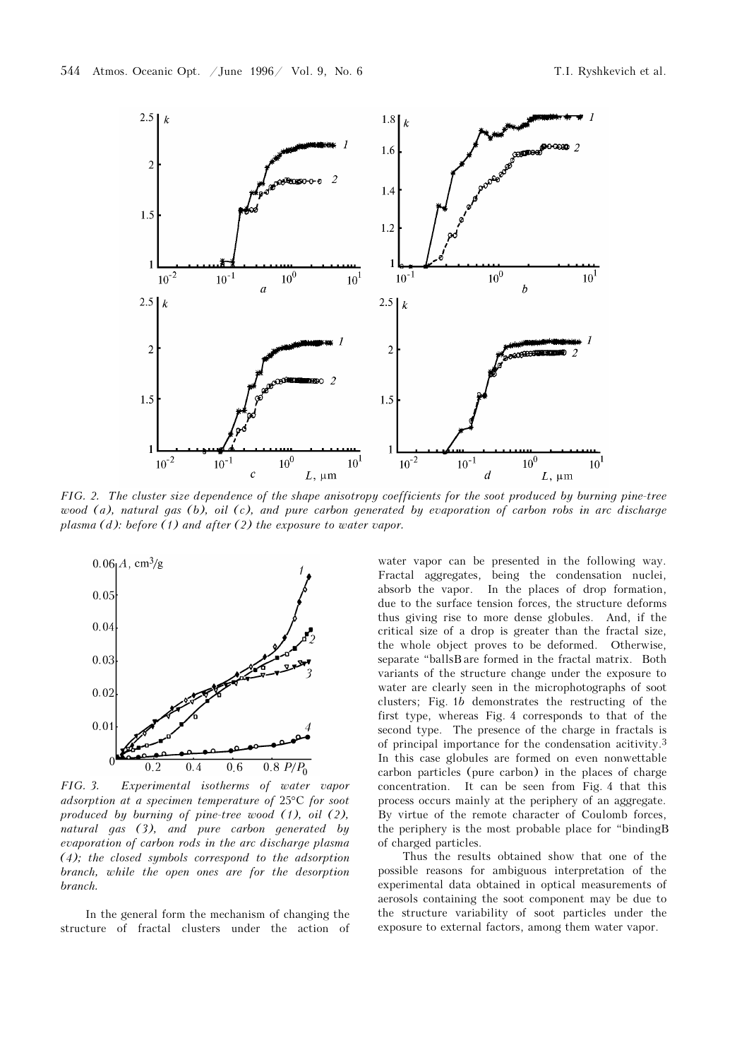

FIG. 2. The cluster size dependence of the shape anisotropy coefficients for the soot produced by burning pine-tree wood (a), natural gas (b), oil (c), and pure carbon generated by evaporation of carbon robs in arc discharge plasma  $(d)$ : before  $(1)$  and after  $(2)$  the exposure to water vapor.



FIG. 3. Experimental isotherms of water vapor adsorption at a specimen temperature of 25°C for soot produced by burning of pine-tree wood (1), oil (2), natural gas (3), and pure carbon generated by evaporation of carbon rods in the arc discharge plasma (4); the closed symbols correspond to the adsorption branch, while the open ones are for the desorption branch.

In the general form the mechanism of changing the structure of fractal clusters under the action of

water vapor can be presented in the following way. Fractal aggregates, being the condensation nuclei, absorb the vapor. In the places of drop formation, due to the surface tension forces, the structure deforms thus giving rise to more dense globules. And, if the critical size of a drop is greater than the fractal size, the whole object proves to be deformed. Otherwise, separate "ballsB are formed in the fractal matrix. Both variants of the structure change under the exposure to water are clearly seen in the microphotographs of soot clusters; Fig. 1b demonstrates the restructing of the first type, whereas Fig. 4 corresponds to that of the second type. The presence of the charge in fractals is of principal importance for the condensation acitivity.<sup>3</sup> In this case globules are formed on even nonwettable carbon particles (pure carbon) in the places of charge concentration. It can be seen from Fig. 4 that this process occurs mainly at the periphery of an aggregate. By virtue of the remote character of Coulomb forces, the periphery is the most probable place for "bindingB of charged particles.

Thus the results obtained show that one of the possible reasons for ambiguous interpretation of the experimental data obtained in optical measurements of aerosols containing the soot component may be due to the structure variability of soot particles under the exposure to external factors, among them water vapor.